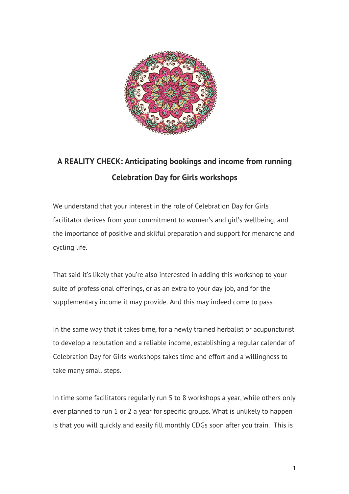

# **A REALITY CHECK: Anticipating bookings and income from running Celebration Day for Girls workshops**

We understand that your interest in the role of Celebration Day for Girls facilitator derives from your commitment to women's and girl's wellbeing, and the importance of positive and skilful preparation and support for menarche and cycling life.

That said it's likely that you're also interested in adding this workshop to your suite of professional offerings, or as an extra to your day job, and for the supplementary income it may provide. And this may indeed come to pass.

In the same way that it takes time, for a newly trained herbalist or acupuncturist to develop a reputation and a reliable income, establishing a regular calendar of Celebration Day for Girls workshops takes time and effort and a willingness to take many small steps.

In time some facilitators regularly run 5 to 8 workshops a year, while others only ever planned to run 1 or 2 a year for specific groups. What is unlikely to happen is that you will quickly and easily fill monthly CDGs soon after you train. This is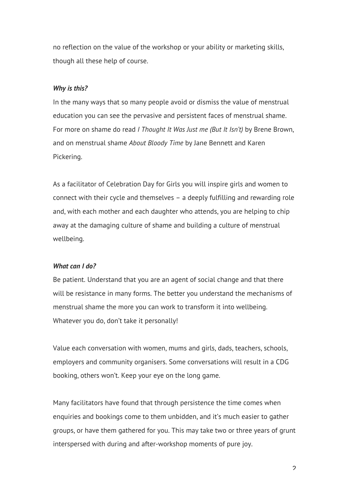no reflection on the value of the workshop or your ability or marketing skills, though all these help of course.

### *Why is this?*

In the many ways that so many people avoid or dismiss the value of menstrual education you can see the pervasive and persistent faces of menstrual shame. For more on shame do read *I Thought It Was Just me (But It Isn't)* by Brene Brown, and on menstrual shame *About Bloody Time* by Jane Bennett and Karen Pickering.

As a facilitator of Celebration Day for Girls you will inspire girls and women to connect with their cycle and themselves – a deeply fulfilling and rewarding role and, with each mother and each daughter who attends, you are helping to chip away at the damaging culture of shame and building a culture of menstrual wellbeing.

### *What can I do?*

Be patient. Understand that you are an agent of social change and that there will be resistance in many forms. The better you understand the mechanisms of menstrual shame the more you can work to transform it into wellbeing. Whatever you do, don't take it personally!

Value each conversation with women, mums and girls, dads, teachers, schools, employers and community organisers. Some conversations will result in a CDG booking, others won't. Keep your eye on the long game.

Many facilitators have found that through persistence the time comes when enquiries and bookings come to them unbidden, and it's much easier to gather groups, or have them gathered for you. This may take two or three years of grunt interspersed with during and after-workshop moments of pure joy.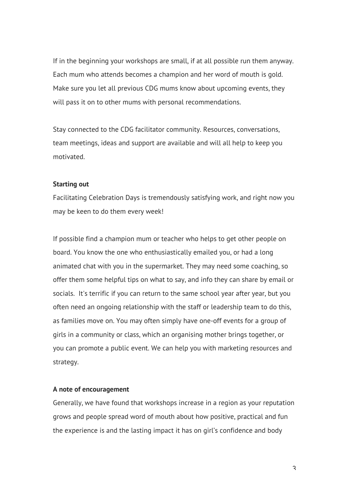If in the beginning your workshops are small, if at all possible run them anyway. Each mum who attends becomes a champion and her word of mouth is gold. Make sure you let all previous CDG mums know about upcoming events, they will pass it on to other mums with personal recommendations.

Stay connected to the CDG facilitator community. Resources, conversations, team meetings, ideas and support are available and will all help to keep you motivated.

#### **Starting out**

Facilitating Celebration Days is tremendously satisfying work, and right now you may be keen to do them every week!

If possible find a champion mum or teacher who helps to get other people on board. You know the one who enthusiastically emailed you, or had a long animated chat with you in the supermarket. They may need some coaching, so offer them some helpful tips on what to say, and info they can share by email or socials. It's terrific if you can return to the same school year after year, but you often need an ongoing relationship with the staff or leadership team to do this, as families move on. You may often simply have one-off events for a group of girls in a community or class, which an organising mother brings together, or you can promote a public event. We can help you with marketing resources and strategy.

## **A note of encouragement**

Generally, we have found that workshops increase in a region as your reputation grows and people spread word of mouth about how positive, practical and fun the experience is and the lasting impact it has on girl's confidence and body

3